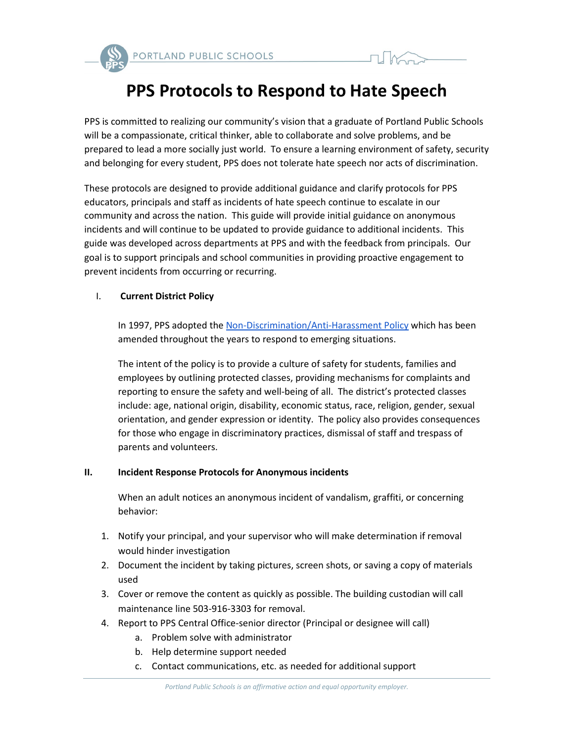



# **PPS Protocols to Respond to Hate Speech**

PPS is committed to realizing our community's vision that a graduate of Portland Public Schools will be a compassionate, critical thinker, able to collaborate and solve problems, and be prepared to lead a more socially just world. To ensure a learning environment of safety, security and belonging for every student, PPS does not tolerate hate speech nor acts of discrimination.

These protocols are designed to provide additional guidance and clarify protocols for PPS educators, principals and staff as incidents of hate speech continue to escalate in our community and across the nation. This guide will provide initial guidance on anonymous incidents and will continue to be updated to provide guidance to additional incidents. This guide was developed across departments at PPS and with the feedback from principals. Our goal is to support principals and school communities in providing proactive engagement to prevent incidents from occurring or recurring.

## I. **Current District Policy**

In 1997, PPS adopted the [Non-Discrimination/Anti-Harassment Policy](https://www.pps.net/cms/lib/OR01913224/Centricity/Domain/4814/1.80.020-P.pdf) which has been amended throughout the years to respond to emerging situations.

The intent of the policy is to provide a culture of safety for students, families and employees by outlining protected classes, providing mechanisms for complaints and reporting to ensure the safety and well-being of all. The district's protected classes include: age, national origin, disability, economic status, race, religion, gender, sexual orientation, and gender expression or identity. The policy also provides consequences for those who engage in discriminatory practices, dismissal of staff and trespass of parents and volunteers.

### **II. Incident Response Protocols for Anonymous incidents**

When an adult notices an anonymous incident of vandalism, graffiti, or concerning behavior:

- 1. Notify your principal, and your supervisor who will make determination if removal would hinder investigation
- 2. Document the incident by taking pictures, screen shots, or saving a copy of materials used
- 3. Cover or remove the content as quickly as possible. The building custodian will call maintenance line 503-916-3303 for removal.
- 4. Report to PPS Central Office-senior director (Principal or designee will call)
	- a. Problem solve with administrator
	- b. Help determine support needed
	- c. Contact communications, etc. as needed for additional support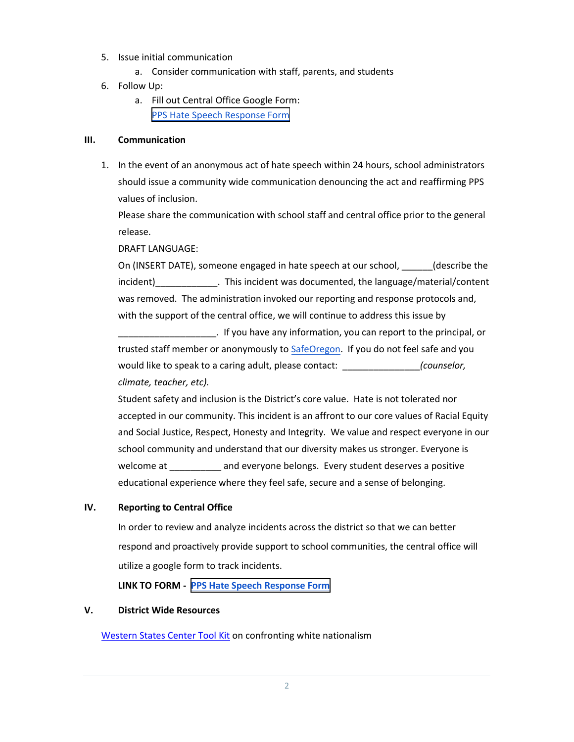- 5. Issue initial communication
	- a. Consider communication with staff, parents, and students
- 6. Follow Up:
	- a. Fill out Central Office Google Form: [PPS Hate Speech Response Form](https://docs.google.com/forms/d/e/1FAIpQLScBgOKMOV-xv4yfPk9DnciUMqkQ7E_Us3JaXcTf_lUIUmWnoA/viewform)

### **III. Communication**

1. In the event of an anonymous act of hate speech within 24 hours, school administrators should issue a community wide communication denouncing the act and reaffirming PPS values of inclusion.

Please share the communication with school staff and central office prior to the general release.

DRAFT LANGUAGE:

On (INSERT DATE), someone engaged in hate speech at our school, (describe the incident) This incident was documented, the language/material/content was removed. The administration invoked our reporting and response protocols and, with the support of the central office, we will continue to address this issue by

\_\_\_\_\_\_\_\_\_\_\_\_\_\_\_\_\_\_\_. If you have any information, you can report to the principal, or trusted staff member or anonymously to [SafeOregon.](https://www.safeoregon.com/) If you do not feel safe and you would like to speak to a caring adult, please contact: \_\_\_\_\_\_\_\_\_\_\_\_\_\_\_*(counselor, climate, teacher, etc).*

Student safety and inclusion is the District's core value. Hate is not tolerated nor accepted in our community. This incident is an affront to our core values of Racial Equity and Social Justice, Respect, Honesty and Integrity. We value and respect everyone in our school community and understand that our diversity makes us stronger. Everyone is welcome at \_\_\_\_\_\_\_\_\_\_ and everyone belongs. Every student deserves a positive educational experience where they feel safe, secure and a sense of belonging.

### **IV. Reporting to Central Office**

In order to review and analyze incidents across the district so that we can better respond and proactively provide support to school communities, the central office will utilize a google form to track incidents.

**LINK TO FORM - PPS Hate [Speech Response Form](https://graduate.lclark.edu/programs/continuing_education/events/transactive-gender-project-summit/?utm_medium=email&utm_source=govdelivery)**

### **V. District Wide Resources**

[Western States Center Tool Kit](https://www.pps.net/cms/lib/OR01913224/Centricity/Domain/4/ConfrontingWhiteNationalisminSchoolsToolkit.pdf) on confronting white nationalism